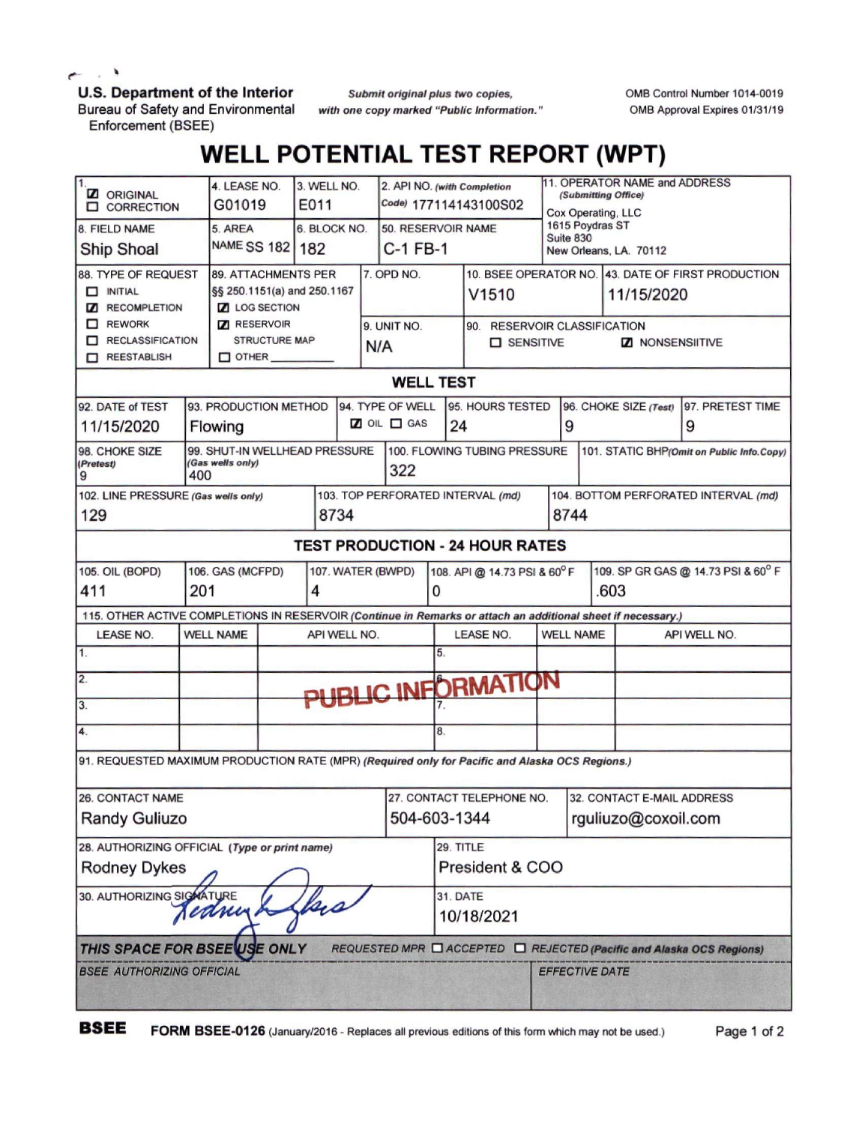$\rightarrow$ 

## **U.S. Department of the Interior**

Bureau of Safety and Environmental Enforcement (BSEE)

*Submit original plus two copies, with one copy marked "Public Information."* OMB Control Number 1014-0019 OMB Approval Expires 01/31/19

## **WELL POTENTIAL TEST REPORT (WPT)**

| $\mathbf{1}$<br><b>Z</b> ORIGINAL<br><b>O CORRECTION</b>                                                                       |                                            | 4. LEASE NO.<br>G01019     |                    | 3. WELL NO.<br>E011               |                   | 2. API NO. (with Completion<br>Code) 177114143100S02 |                  |                              | 11. OPERATOR NAME and ADDRESS<br>(Submitting Office)<br>Cox Operating, LLC |                                                        |                            |  |                                                                      |  |
|--------------------------------------------------------------------------------------------------------------------------------|--------------------------------------------|----------------------------|--------------------|-----------------------------------|-------------------|------------------------------------------------------|------------------|------------------------------|----------------------------------------------------------------------------|--------------------------------------------------------|----------------------------|--|----------------------------------------------------------------------|--|
| 8. FIELD NAME                                                                                                                  |                                            | 5. AREA                    |                    | 6. BLOCK NO.                      |                   | 50. RESERVOIR NAME                                   |                  | 1615 Poydras ST<br>Suite 830 |                                                                            |                                                        |                            |  |                                                                      |  |
| <b>Ship Shoal</b>                                                                                                              |                                            | NAME SS 182   182          |                    | $C-1$ FB-1                        |                   |                                                      |                  |                              | New Orleans, LA. 70112                                                     |                                                        |                            |  |                                                                      |  |
| 88. TYPE OF REQUEST                                                                                                            |                                            | <b>89. ATTACHMENTS PER</b> |                    |                                   |                   | 7. OPD NO.                                           |                  |                              |                                                                            |                                                        |                            |  | 10. BSEE OPERATOR NO. 43. DATE OF FIRST PRODUCTION                   |  |
| $\Box$ INITIAL                                                                                                                 | §§ 250.1151(a) and 250.1167                |                            |                    |                                   |                   |                                                      | V1510            |                              |                                                                            | 11/15/2020                                             |                            |  |                                                                      |  |
| <b>Z</b> RECOMPLETION<br>$\Box$ REWORK                                                                                         | <b>Z</b> LOG SECTION<br><b>Z</b> RESERVOIR |                            |                    |                                   |                   |                                                      |                  |                              |                                                                            |                                                        |                            |  |                                                                      |  |
| RECLASSIFICATION                                                                                                               |                                            | <b>STRUCTURE MAP</b>       |                    |                                   | 9. UNIT NO.       |                                                      |                  | <b>O</b> SENSITIVE           |                                                                            | 90. RESERVOIR CLASSIFICATION<br><b>Z</b> NONSENSIITIVE |                            |  |                                                                      |  |
| REESTABLISH                                                                                                                    | $\Box$ OTHER $\_$                          |                            |                    | N/A                               |                   |                                                      |                  |                              |                                                                            |                                                        |                            |  |                                                                      |  |
| <b>WELL TEST</b>                                                                                                               |                                            |                            |                    |                                   |                   |                                                      |                  |                              |                                                                            |                                                        |                            |  |                                                                      |  |
| 94. TYPE OF WELL<br>92. DATE of TEST<br>93. PRODUCTION METHOD<br>95. HOURS TESTED<br>96. CHOKE SIZE (Test)<br>97. PRETEST TIME |                                            |                            |                    |                                   |                   |                                                      |                  |                              |                                                                            |                                                        |                            |  |                                                                      |  |
| 11/15/2020                                                                                                                     | Flowing                                    |                            |                    |                                   | OIL OGAS          |                                                      | 24               |                              |                                                                            | 9                                                      |                            |  | 9                                                                    |  |
| 99. SHUT-IN WELLHEAD PRESSURE<br>100. FLOWING TUBING PRESSURE<br>98. CHOKE SIZE<br>101. STATIC BHP(Omit on Public Info.Copy)   |                                            |                            |                    |                                   |                   |                                                      |                  |                              |                                                                            |                                                        |                            |  |                                                                      |  |
| (Gas wells only)<br>(Pretest)<br>400<br>9                                                                                      |                                            |                            |                    |                                   | 322               |                                                      |                  |                              |                                                                            |                                                        |                            |  |                                                                      |  |
| 102. LINE PRESSURE (Gas wells only)                                                                                            |                                            |                            |                    | 103. TOP PERFORATED INTERVAL (md) |                   |                                                      |                  |                              | 104. BOTTOM PERFORATED INTERVAL (md)                                       |                                                        |                            |  |                                                                      |  |
| 129                                                                                                                            |                                            |                            | 8734               |                                   |                   |                                                      |                  |                              |                                                                            | 8744                                                   |                            |  |                                                                      |  |
| <b>TEST PRODUCTION - 24 HOUR RATES</b>                                                                                         |                                            |                            |                    |                                   |                   |                                                      |                  |                              |                                                                            |                                                        |                            |  |                                                                      |  |
| 105. OIL (BOPD)<br>106. GAS (MCFPD)                                                                                            |                                            |                            |                    |                                   | 107. WATER (BWPD) |                                                      |                  | 108. API @ 14.73 PSI & 60°F  |                                                                            | 109. SP GR GAS @ 14.73 PSI & 60° F                     |                            |  |                                                                      |  |
| 411                                                                                                                            |                                            | 4                          |                    |                                   |                   | 0                                                    |                  |                              | .603                                                                       |                                                        |                            |  |                                                                      |  |
| 115. OTHER ACTIVE COMPLETIONS IN RESERVOIR (Continue in Remarks or attach an additional sheet if necessary.)                   |                                            |                            |                    |                                   |                   |                                                      |                  |                              |                                                                            |                                                        |                            |  |                                                                      |  |
| LEASE NO.                                                                                                                      | <b>WELL NAME</b>                           | API WELL NO.               |                    |                                   |                   |                                                      | <b>LEASE NO.</b> |                              | <b>WELL NAME</b>                                                           |                                                        | API WELL NO.               |  |                                                                      |  |
| 1.                                                                                                                             |                                            |                            |                    |                                   |                   |                                                      | 5.               |                              |                                                                            |                                                        |                            |  |                                                                      |  |
| $\overline{2}$ .                                                                                                               |                                            |                            | PUBLIC INFORMATION |                                   |                   |                                                      |                  |                              |                                                                            |                                                        |                            |  |                                                                      |  |
| 3.                                                                                                                             |                                            |                            |                    |                                   |                   |                                                      |                  |                              |                                                                            |                                                        |                            |  |                                                                      |  |
| 4.                                                                                                                             |                                            |                            |                    |                                   |                   | 8.                                                   |                  |                              |                                                                            |                                                        |                            |  |                                                                      |  |
| 91. REQUESTED MAXIMUM PRODUCTION RATE (MPR) (Required only for Pacific and Alaska OCS Regions.)                                |                                            |                            |                    |                                   |                   |                                                      |                  |                              |                                                                            |                                                        |                            |  |                                                                      |  |
| <b>26. CONTACT NAME</b>                                                                                                        |                                            |                            |                    |                                   |                   |                                                      |                  | 27. CONTACT TELEPHONE NO.    |                                                                            |                                                        | 32. CONTACT E-MAIL ADDRESS |  |                                                                      |  |
| 504-603-1344<br><b>Randy Guliuzo</b>                                                                                           |                                            |                            |                    |                                   |                   |                                                      |                  |                              |                                                                            | rguliuzo@coxoil.com                                    |                            |  |                                                                      |  |
| 28. AUTHORIZING OFFICIAL (Type or print name)                                                                                  |                                            |                            |                    |                                   |                   |                                                      |                  | 29. TITLE                    |                                                                            |                                                        |                            |  |                                                                      |  |
| <b>Rodney Dykes</b>                                                                                                            |                                            |                            |                    |                                   |                   |                                                      | President & COO  |                              |                                                                            |                                                        |                            |  |                                                                      |  |
| 30. AUTHORIZING SIGNATURE                                                                                                      |                                            |                            |                    |                                   |                   |                                                      | 31. DATE         |                              |                                                                            |                                                        |                            |  |                                                                      |  |
| Jedning                                                                                                                        |                                            |                            |                    |                                   |                   |                                                      | 10/18/2021       |                              |                                                                            |                                                        |                            |  |                                                                      |  |
| THIS SPACE FOR BSEEVISE ONLY                                                                                                   |                                            |                            |                    |                                   |                   |                                                      |                  |                              |                                                                            |                                                        |                            |  | REQUESTED MPR □ ACCEPTED □ REJECTED (Pacific and Alaska OCS Regions) |  |
| <b>BSEE AUTHORIZING OFFICIAL</b>                                                                                               |                                            |                            |                    |                                   |                   |                                                      |                  | <b>EFFECTIVE DATE</b>        |                                                                            |                                                        |                            |  |                                                                      |  |
|                                                                                                                                |                                            |                            |                    |                                   |                   |                                                      |                  |                              |                                                                            |                                                        |                            |  |                                                                      |  |